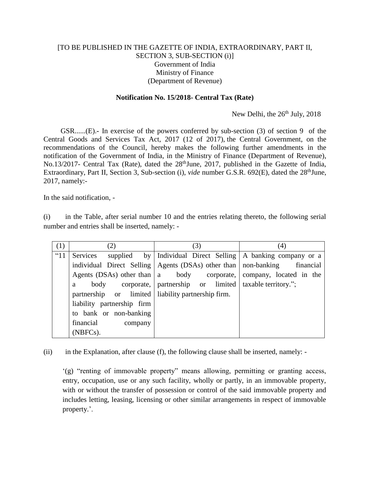## [TO BE PUBLISHED IN THE GAZETTE OF INDIA, EXTRAORDINARY, PART II, SECTION 3, SUB-SECTION (i)] Government of India Ministry of Finance (Department of Revenue)

## **Notification No. 15/2018- Central Tax (Rate)**

## New Delhi, the 26<sup>th</sup> July, 2018

GSR......(E).**-** In exercise of the powers conferred by sub-section (3) of section 9 of the Central Goods and Services Tax Act, 2017 (12 of 2017), the Central Government, on the recommendations of the Council, hereby makes the following further amendments in the notification of the Government of India, in the Ministry of Finance (Department of Revenue), No.13/2017- Central Tax (Rate), dated the 28<sup>th</sup>June, 2017, published in the Gazette of India, Extraordinary, Part II, Section 3, Sub-section (i), *vide* number G.S.R. 692(E), dated the 28<sup>th</sup>June, 2017, namely:-

In the said notification, -

(i) in the Table, after serial number 10 and the entries relating thereto, the following serial number and entries shall be inserted, namely: -

| (1) | (2)                                                | (3)                                                                          | (4)                                     |
|-----|----------------------------------------------------|------------------------------------------------------------------------------|-----------------------------------------|
| "11 | Services<br>supplied by                            | Individual Direct Selling   A banking company or a                           |                                         |
|     |                                                    | individual Direct Selling   Agents (DSAs) other than   non-banking financial |                                         |
|     | Agents (DSAs) other than $ a $                     |                                                                              | body corporate, company, located in the |
|     | a                                                  | body corporate,   partnership or limited   taxable territory.";              |                                         |
|     | partnership or limited liability partnership firm. |                                                                              |                                         |
|     | liability partnership firm                         |                                                                              |                                         |
|     | to bank or non-banking                             |                                                                              |                                         |
|     | financial<br>company                               |                                                                              |                                         |
|     | (NBFCs).                                           |                                                                              |                                         |

(ii) in the Explanation, after clause (f), the following clause shall be inserted, namely: -

'(g) "renting of immovable property" means allowing, permitting or granting access, entry, occupation, use or any such facility, wholly or partly, in an immovable property, with or without the transfer of possession or control of the said immovable property and includes letting, leasing, licensing or other similar arrangements in respect of immovable property.'.